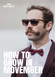

# HOW TO GROWIN MOVEMBER